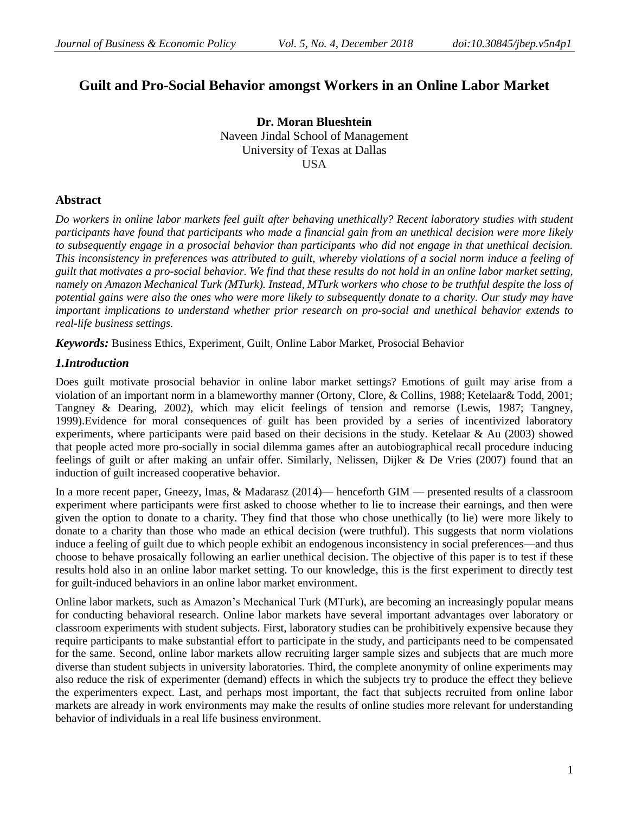# **Guilt and Pro-Social Behavior amongst Workers in an Online Labor Market**

**Dr. Moran Blueshtein** Naveen Jindal School of Management University of Texas at Dallas USA

## **Abstract**

*Do workers in online labor markets feel guilt after behaving unethically? Recent laboratory studies with student participants have found that participants who made a financial gain from an unethical decision were more likely to subsequently engage in a prosocial behavior than participants who did not engage in that unethical decision. This inconsistency in preferences was attributed to guilt, whereby violations of a social norm induce a feeling of guilt that motivates a pro-social behavior. We find that these results do not hold in an online labor market setting, namely on Amazon Mechanical Turk (MTurk). Instead, MTurk workers who chose to be truthful despite the loss of potential gains were also the ones who were more likely to subsequently donate to a charity. Our study may have important implications to understand whether prior research on pro-social and unethical behavior extends to real-life business settings.* 

*Keywords:* Business Ethics, Experiment, Guilt, Online Labor Market, Prosocial Behavior

## *1.Introduction*

Does guilt motivate prosocial behavior in online labor market settings? Emotions of guilt may arise from a violation of an important norm in a blameworthy manner (Ortony, Clore, & Collins, 1988; Ketelaar& Todd, 2001; Tangney & Dearing, 2002), which may elicit feelings of tension and remorse (Lewis, 1987; Tangney, 1999).Evidence for moral consequences of guilt has been provided by a series of incentivized laboratory experiments, where participants were paid based on their decisions in the study. Ketelaar & Au (2003) showed that people acted more pro-socially in social dilemma games after an autobiographical recall procedure inducing feelings of guilt or after making an unfair offer. Similarly, Nelissen, Dijker & De Vries (2007) found that an induction of guilt increased cooperative behavior.

In a more recent paper, Gneezy, Imas, & Madarasz (2014)— henceforth GIM — presented results of a classroom experiment where participants were first asked to choose whether to lie to increase their earnings, and then were given the option to donate to a charity. They find that those who chose unethically (to lie) were more likely to donate to a charity than those who made an ethical decision (were truthful). This suggests that norm violations induce a feeling of guilt due to which people exhibit an endogenous inconsistency in social preferences—and thus choose to behave prosaically following an earlier unethical decision. The objective of this paper is to test if these results hold also in an online labor market setting. To our knowledge, this is the first experiment to directly test for guilt-induced behaviors in an online labor market environment.

Online labor markets, such as Amazon's Mechanical Turk (MTurk), are becoming an increasingly popular means for conducting behavioral research. Online labor markets have several important advantages over laboratory or classroom experiments with student subjects. First, laboratory studies can be prohibitively expensive because they require participants to make substantial effort to participate in the study, and participants need to be compensated for the same. Second, online labor markets allow recruiting larger sample sizes and subjects that are much more diverse than student subjects in university laboratories. Third, the complete anonymity of online experiments may also reduce the risk of experimenter (demand) effects in which the subjects try to produce the effect they believe the experimenters expect. Last, and perhaps most important, the fact that subjects recruited from online labor markets are already in work environments may make the results of online studies more relevant for understanding behavior of individuals in a real life business environment.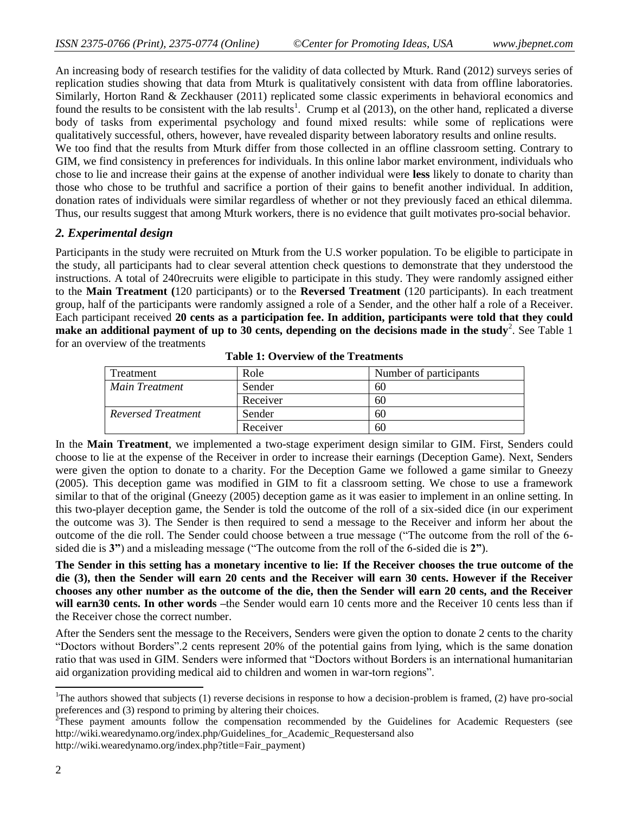An increasing body of research testifies for the validity of data collected by Mturk. Rand (2012) surveys series of replication studies showing that data from Mturk is qualitatively consistent with data from offline laboratories. Similarly, Horton Rand & Zeckhauser (2011) replicated some classic experiments in behavioral economics and found the results to be consistent with the lab results<sup>1</sup>. Crump et al  $(2013)$ , on the other hand, replicated a diverse body of tasks from experimental psychology and found mixed results: while some of replications were qualitatively successful, others, however, have revealed disparity between laboratory results and online results.

We too find that the results from Mturk differ from those collected in an offline classroom setting. Contrary to GIM, we find consistency in preferences for individuals. In this online labor market environment, individuals who chose to lie and increase their gains at the expense of another individual were **less** likely to donate to charity than those who chose to be truthful and sacrifice a portion of their gains to benefit another individual. In addition, donation rates of individuals were similar regardless of whether or not they previously faced an ethical dilemma. Thus, our results suggest that among Mturk workers, there is no evidence that guilt motivates pro-social behavior.

#### *2. Experimental design*

Participants in the study were recruited on Mturk from the U.S worker population. To be eligible to participate in the study, all participants had to clear several attention check questions to demonstrate that they understood the instructions. A total of 240recruits were eligible to participate in this study. They were randomly assigned either to the **Main Treatment (**120 participants) or to the **Reversed Treatment** (120 participants). In each treatment group, half of the participants were randomly assigned a role of a Sender, and the other half a role of a Receiver. Each participant received **20 cents as a participation fee. In addition, participants were told that they could**  make an additional payment of up to 30 cents, depending on the decisions made in the study<sup>2</sup>. See Table 1 for an overview of the treatments

| Treatment          | Role     | Number of participants |
|--------------------|----------|------------------------|
| Main Treatment     | Sender   | 60                     |
|                    | Receiver | 60                     |
| Reversed Treatment | Sender   | 60                     |
|                    | Receiver | 60                     |

**Table 1: Overview of the Treatments**

In the **Main Treatment**, we implemented a two-stage experiment design similar to GIM. First, Senders could choose to lie at the expense of the Receiver in order to increase their earnings (Deception Game). Next, Senders were given the option to donate to a charity. For the Deception Game we followed a game similar to Gneezy (2005). This deception game was modified in GIM to fit a classroom setting. We chose to use a framework similar to that of the original (Gneezy (2005) deception game as it was easier to implement in an online setting. In this two-player deception game, the Sender is told the outcome of the roll of a six-sided dice (in our experiment the outcome was 3). The Sender is then required to send a message to the Receiver and inform her about the outcome of the die roll. The Sender could choose between a true message ("The outcome from the roll of the 6sided die is **3**") and a misleading message ("The outcome from the roll of the 6-sided die is **2**").

**The Sender in this setting has a monetary incentive to lie: If the Receiver chooses the true outcome of the die (3), then the Sender will earn 20 cents and the Receiver will earn 30 cents. However if the Receiver chooses any other number as the outcome of the die, then the Sender will earn 20 cents, and the Receiver will earn30 cents. In other words –**the Sender would earn 10 cents more and the Receiver 10 cents less than if the Receiver chose the correct number.

After the Senders sent the message to the Receivers, Senders were given the option to donate 2 cents to the charity ―Doctors without Borders‖.2 cents represent 20% of the potential gains from lying, which is the same donation ratio that was used in GIM. Senders were informed that "Doctors without Borders is an international humanitarian aid organization providing medical aid to children and women in war-torn regions".

[http://wiki.wearedynamo.org/index.php?title=Fair\\_payment\)](http://wiki.wearedynamo.org/index.php?title=Fair_payment)

 $\overline{a}$ 

<sup>&</sup>lt;sup>1</sup>The authors showed that subjects (1) reverse decisions in response to how a decision-problem is framed, (2) have pro-social preferences and (3) respond to priming by altering their choices.

 $2^{\text{th}}$ These payment amounts follow the compensation recommended by the Guidelines for Academic Requesters (see [http://wiki.wearedynamo.org/index.php/Guidelines\\_for\\_Academic\\_Requestersa](http://wiki.wearedynamo.org/index.php/Guidelines_for_Academic_Requesters)nd also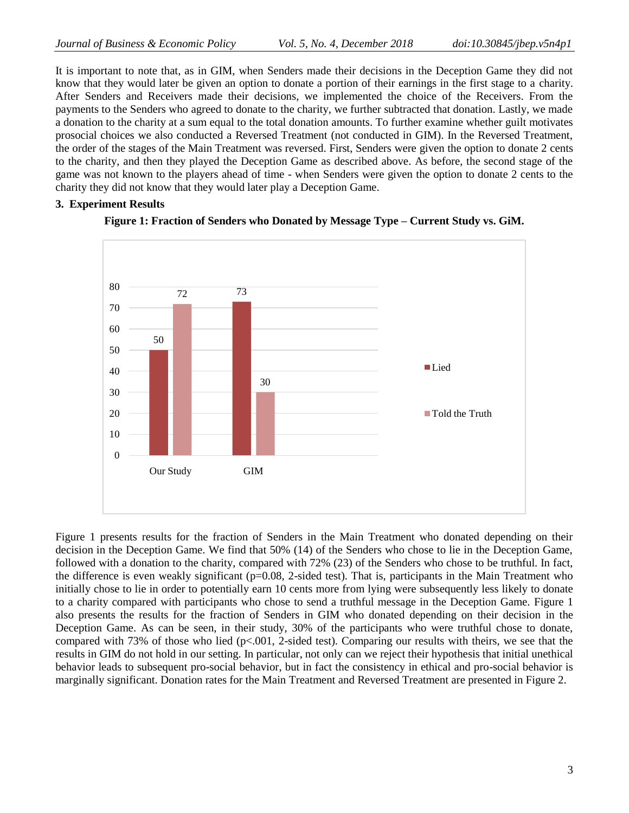It is important to note that, as in GIM, when Senders made their decisions in the Deception Game they did not know that they would later be given an option to donate a portion of their earnings in the first stage to a charity. After Senders and Receivers made their decisions, we implemented the choice of the Receivers. From the payments to the Senders who agreed to donate to the charity, we further subtracted that donation. Lastly, we made a donation to the charity at a sum equal to the total donation amounts. To further examine whether guilt motivates prosocial choices we also conducted a Reversed Treatment (not conducted in GIM). In the Reversed Treatment, the order of the stages of the Main Treatment was reversed. First, Senders were given the option to donate 2 cents to the charity, and then they played the Deception Game as described above. As before, the second stage of the game was not known to the players ahead of time - when Senders were given the option to donate 2 cents to the charity they did not know that they would later play a Deception Game.

#### **3. Experiment Results**



#### **Figure 1: Fraction of Senders who Donated by Message Type – Current Study vs. GiM.**

Figure 1 presents results for the fraction of Senders in the Main Treatment who donated depending on their decision in the Deception Game. We find that 50% (14) of the Senders who chose to lie in the Deception Game, followed with a donation to the charity, compared with 72% (23) of the Senders who chose to be truthful. In fact, the difference is even weakly significant (p=0.08, 2-sided test). That is, participants in the Main Treatment who initially chose to lie in order to potentially earn 10 cents more from lying were subsequently less likely to donate to a charity compared with participants who chose to send a truthful message in the Deception Game. Figure 1 also presents the results for the fraction of Senders in GIM who donated depending on their decision in the Deception Game. As can be seen, in their study, 30% of the participants who were truthful chose to donate, compared with 73% of those who lied (p<.001, 2-sided test). Comparing our results with theirs, we see that the results in GIM do not hold in our setting. In particular, not only can we reject their hypothesis that initial unethical behavior leads to subsequent pro-social behavior, but in fact the consistency in ethical and pro-social behavior is marginally significant. Donation rates for the Main Treatment and Reversed Treatment are presented in Figure 2.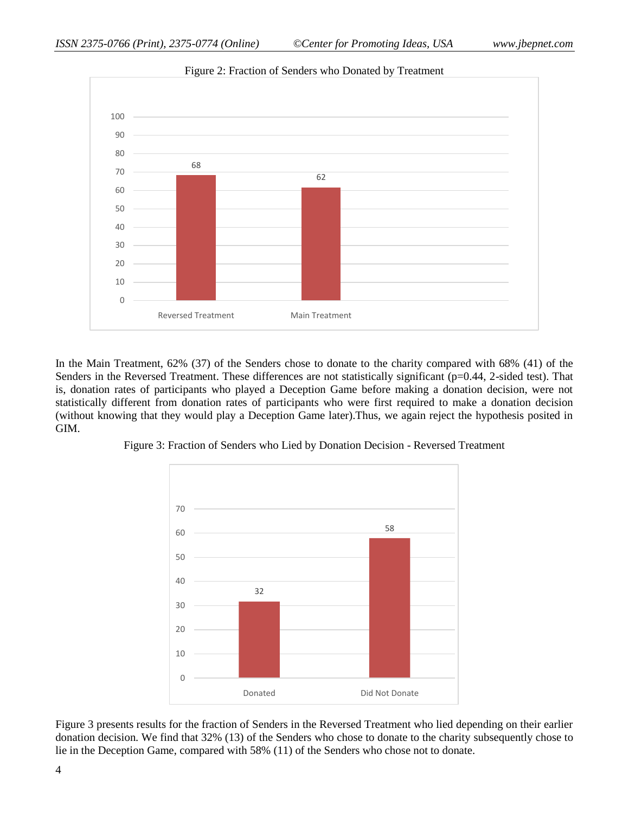

Figure 2: Fraction of Senders who Donated by Treatment

In the Main Treatment, 62% (37) of the Senders chose to donate to the charity compared with 68% (41) of the Senders in the Reversed Treatment. These differences are not statistically significant (p=0.44, 2-sided test). That is, donation rates of participants who played a Deception Game before making a donation decision, were not statistically different from donation rates of participants who were first required to make a donation decision (without knowing that they would play a Deception Game later).Thus, we again reject the hypothesis posited in GIM.





Figure 3 presents results for the fraction of Senders in the Reversed Treatment who lied depending on their earlier donation decision. We find that 32% (13) of the Senders who chose to donate to the charity subsequently chose to lie in the Deception Game, compared with 58% (11) of the Senders who chose not to donate.